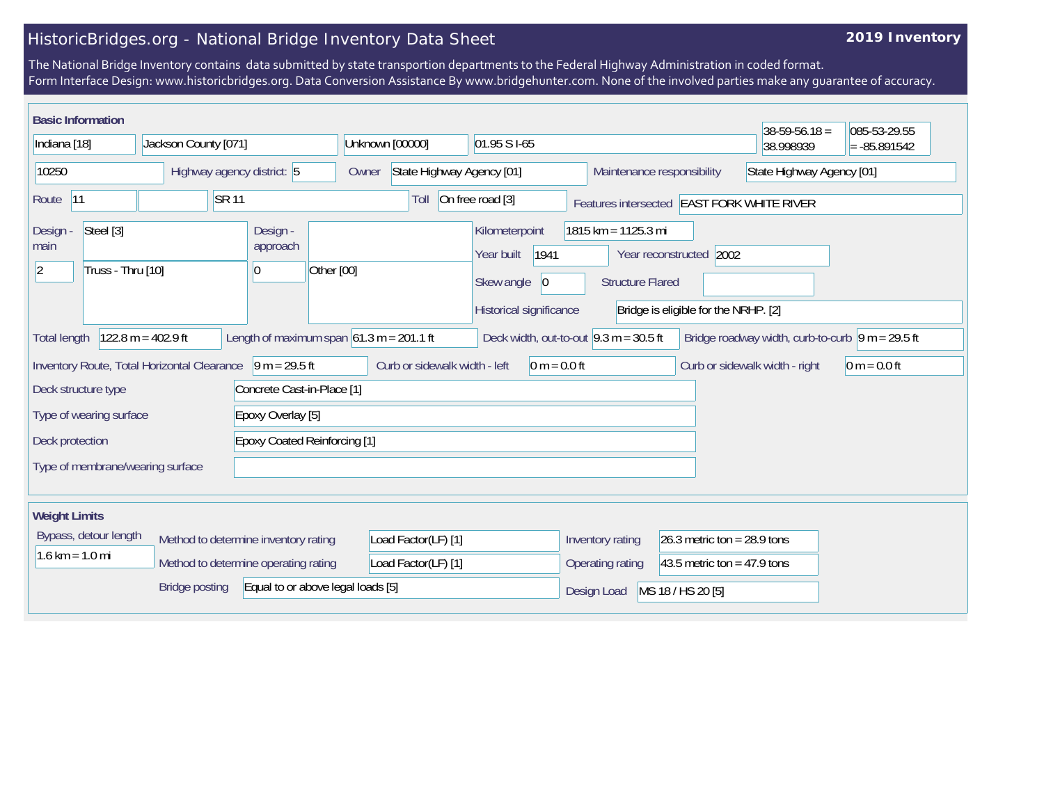## HistoricBridges.org - National Bridge Inventory Data Sheet

## **2019 Inventory**

The National Bridge Inventory contains data submitted by state transportion departments to the Federal Highway Administration in coded format. Form Interface Design: www.historicbridges.org. Data Conversion Assistance By www.bridgehunter.com. None of the involved parties make any guarantee of accuracy.

| <b>Basic Information</b>                                                                                                                                                                                     |                                  |  |                            |                            |                                                                        |                                    |                                                                                              |                                                                                                                     |                                | $38 - 59 - 56.18 =$       | 085-53-29.55   |
|--------------------------------------------------------------------------------------------------------------------------------------------------------------------------------------------------------------|----------------------------------|--|----------------------------|----------------------------|------------------------------------------------------------------------|------------------------------------|----------------------------------------------------------------------------------------------|---------------------------------------------------------------------------------------------------------------------|--------------------------------|---------------------------|----------------|
| Indiana [18]                                                                                                                                                                                                 |                                  |  | Jackson County [071]       |                            |                                                                        | Unknown [00000]<br>01.95 S I-65    |                                                                                              |                                                                                                                     |                                | 38.998939                 | $= -85.891542$ |
| 10250                                                                                                                                                                                                        |                                  |  | Highway agency district: 5 |                            |                                                                        | State Highway Agency [01]<br>Owner |                                                                                              |                                                                                                                     | Maintenance responsibility     | State Highway Agency [01] |                |
| <b>SR11</b><br> 11<br>Route                                                                                                                                                                                  |                                  |  |                            |                            | On free road [3]<br>Toll<br>Features intersected EAST FORK WHITE RIVER |                                    |                                                                                              |                                                                                                                     |                                |                           |                |
| Design -<br>main<br> 2                                                                                                                                                                                       | Steel [3]<br>Truss - Thru [10]   |  |                            | Design -<br>approach<br>10 | Other [00]                                                             |                                    | Kilometerpoint<br>Year built<br>1941<br>Skew angle<br>$ 0\rangle$<br>Historical significance | $1815$ km = 1125.3 mi<br>Year reconstructed 2002<br><b>Structure Flared</b><br>Bridge is eligible for the NRHP. [2] |                                |                           |                |
| Length of maximum span $61.3$ m = 201.1 ft<br>$122.8 m = 402.9 ft$<br>Deck width, out-to-out $9.3 \text{ m} = 30.5 \text{ ft}$<br>Bridge roadway width, curb-to-curb $ 9 m = 29.5 ft$<br><b>Total length</b> |                                  |  |                            |                            |                                                                        |                                    |                                                                                              |                                                                                                                     |                                |                           |                |
| $9 m = 29.5 ft$<br>Inventory Route, Total Horizontal Clearance<br>Curb or sidewalk width - left                                                                                                              |                                  |  |                            |                            |                                                                        | $0 m = 0.0 ft$                     |                                                                                              |                                                                                                                     | Curb or sidewalk width - right | $0 m = 0.0 ft$            |                |
| Deck structure type<br>Concrete Cast-in-Place [1]                                                                                                                                                            |                                  |  |                            |                            |                                                                        |                                    |                                                                                              |                                                                                                                     |                                |                           |                |
| Type of wearing surface<br>Epoxy Overlay [5]                                                                                                                                                                 |                                  |  |                            |                            |                                                                        |                                    |                                                                                              |                                                                                                                     |                                |                           |                |
| <b>Epoxy Coated Reinforcing [1]</b><br>Deck protection                                                                                                                                                       |                                  |  |                            |                            |                                                                        |                                    |                                                                                              |                                                                                                                     |                                |                           |                |
|                                                                                                                                                                                                              | Type of membrane/wearing surface |  |                            |                            |                                                                        |                                    |                                                                                              |                                                                                                                     |                                |                           |                |
| <b>Weight Limits</b>                                                                                                                                                                                         |                                  |  |                            |                            |                                                                        |                                    |                                                                                              |                                                                                                                     |                                |                           |                |
| Bypass, detour length<br>Method to determine inventory rating<br>$1.6 \text{ km} = 1.0 \text{ mi}$<br>Method to determine operating rating                                                                   |                                  |  |                            |                            |                                                                        | Load Factor(LF) [1]                |                                                                                              | Inventory rating                                                                                                    | 26.3 metric ton = $28.9$ tons  |                           |                |
|                                                                                                                                                                                                              |                                  |  |                            | Load Factor(LF) [1]        |                                                                        |                                    | Operating rating                                                                             | 43.5 metric ton = $47.9$ tons                                                                                       |                                |                           |                |
| <b>Bridge posting</b><br>Equal to or above legal loads [5]                                                                                                                                                   |                                  |  |                            |                            |                                                                        |                                    | Design Load                                                                                  | MS 18 / HS 20 [5]                                                                                                   |                                |                           |                |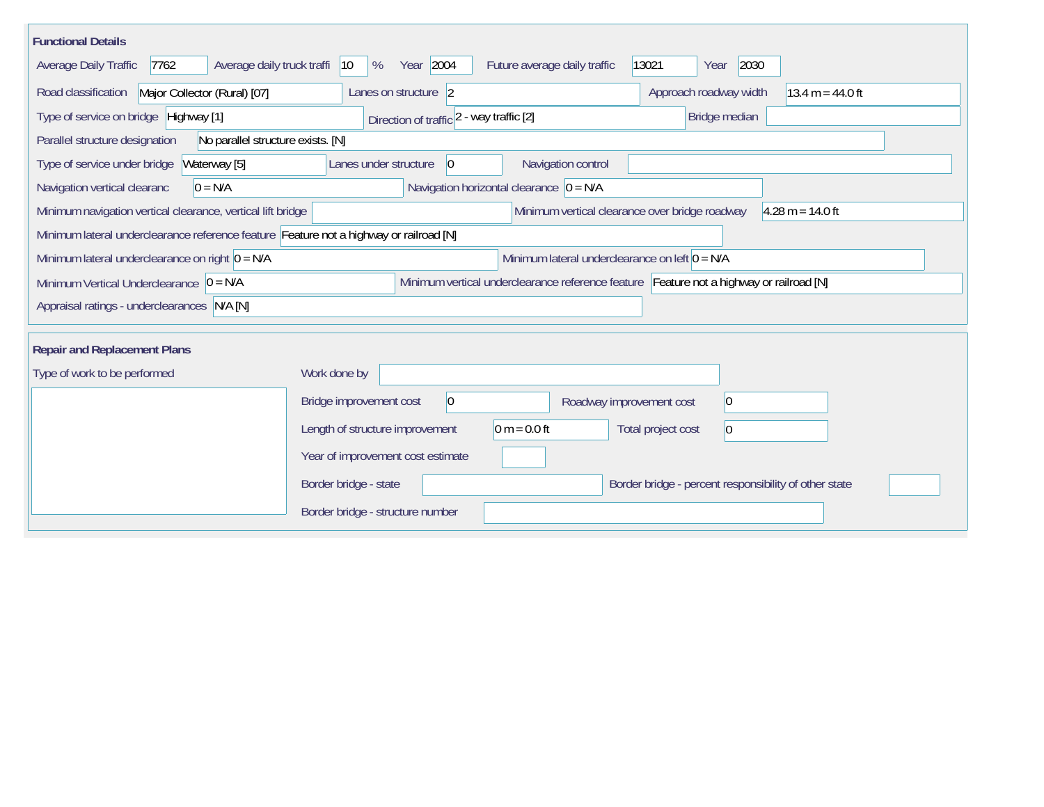| <b>Functional Details</b>                                                                                                              |                                                                |                                                                      |  |  |  |  |  |  |  |
|----------------------------------------------------------------------------------------------------------------------------------------|----------------------------------------------------------------|----------------------------------------------------------------------|--|--|--|--|--|--|--|
| Average daily truck traffi<br>Average Daily Traffic<br>7762                                                                            | Year 2004<br>$ 10\rangle$<br>%<br>Future average daily traffic | 2030<br>13021<br>Year                                                |  |  |  |  |  |  |  |
| Major Collector (Rural) [07]<br>Road classification                                                                                    | Lanes on structure 2                                           | Approach roadway width<br>13.4 m = $44.0$ ft                         |  |  |  |  |  |  |  |
| Type of service on bridge Highway [1]                                                                                                  | Direction of traffic 2 - way traffic [2]                       | Bridge median                                                        |  |  |  |  |  |  |  |
| Parallel structure designation<br>No parallel structure exists. [N]                                                                    |                                                                |                                                                      |  |  |  |  |  |  |  |
| Waterway [5]<br>Type of service under bridge                                                                                           | Navigation control<br>Lanes under structure<br>$\vert 0 \vert$ |                                                                      |  |  |  |  |  |  |  |
| Navigation vertical clearanc<br>$0 = N/A$                                                                                              | Navigation horizontal clearance $\vert 0 = N/A \vert$          |                                                                      |  |  |  |  |  |  |  |
| Minimum navigation vertical clearance, vertical lift bridge                                                                            |                                                                | Minimum vertical clearance over bridge roadway<br>$4.28 m = 14.0 ft$ |  |  |  |  |  |  |  |
| Minimum lateral underclearance reference feature Feature not a highway or railroad [N]                                                 |                                                                |                                                                      |  |  |  |  |  |  |  |
| Minimum lateral underclearance on right $0 = N/A$                                                                                      |                                                                | Minimum lateral underclearance on left $0 = N/A$                     |  |  |  |  |  |  |  |
| Minimum vertical underclearance reference feature Feature not a highway or railroad [N]<br>Minimum Vertical Underclearance $ 0 = N/A $ |                                                                |                                                                      |  |  |  |  |  |  |  |
| Appraisal ratings - underclearances N/A [N]                                                                                            |                                                                |                                                                      |  |  |  |  |  |  |  |
|                                                                                                                                        |                                                                |                                                                      |  |  |  |  |  |  |  |
| <b>Repair and Replacement Plans</b>                                                                                                    |                                                                |                                                                      |  |  |  |  |  |  |  |
| Type of work to be performed                                                                                                           | Work done by                                                   |                                                                      |  |  |  |  |  |  |  |
|                                                                                                                                        | $ 0\rangle$<br>Bridge improvement cost                         | 0 <br>Roadway improvement cost                                       |  |  |  |  |  |  |  |
|                                                                                                                                        | $0 m = 0.0 ft$<br>Length of structure improvement              | Total project cost<br>$\overline{0}$                                 |  |  |  |  |  |  |  |
|                                                                                                                                        | Year of improvement cost estimate                              |                                                                      |  |  |  |  |  |  |  |
|                                                                                                                                        | Border bridge - state                                          | Border bridge - percent responsibility of other state                |  |  |  |  |  |  |  |
|                                                                                                                                        | Border bridge - structure number                               |                                                                      |  |  |  |  |  |  |  |